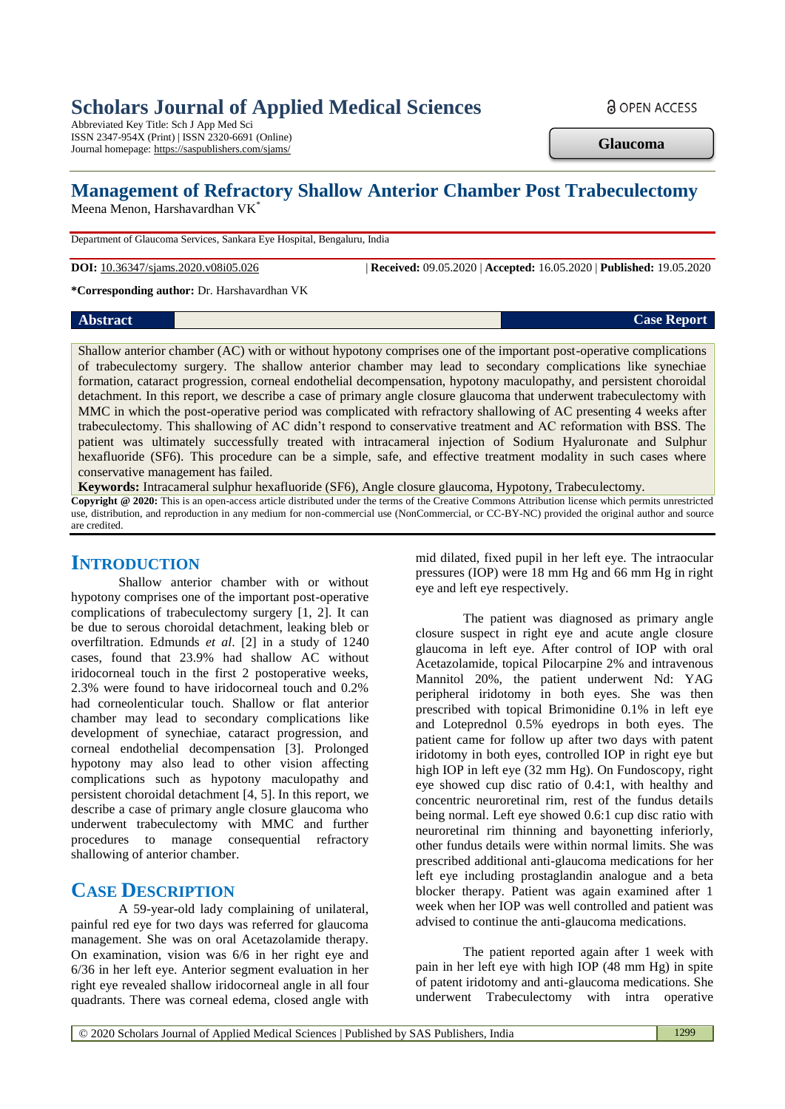# **Scholars Journal of Applied Medical Sciences**

Abbreviated Key Title: Sch J App Med Sci ISSN 2347-954X (Print) | ISSN 2320-6691 (Online) Journal homepage: https://saspublishers.com/sjams/ **a** OPEN ACCESS

**Glaucoma**

# **Management of Refractory Shallow Anterior Chamber Post Trabeculectomy**

Meena Menon, Harshavardhan VK\*

Department of Glaucoma Services, Sankara Eye Hospital, Bengaluru, India

**DOI:** 10.36347/sjams.2020.v08i05.026 | **Received:** 09.05.2020 | **Accepted:** 16.05.2020 | **Published:** 19.05.2020

**\*Corresponding author:** Dr. Harshavardhan VK

#### *Abstract* **Case Report Case Report**

Shallow anterior chamber (AC) with or without hypotony comprises one of the important post-operative complications of trabeculectomy surgery. The shallow anterior chamber may lead to secondary complications like synechiae formation, cataract progression, corneal endothelial decompensation, hypotony maculopathy, and persistent choroidal detachment. In this report, we describe a case of primary angle closure glaucoma that underwent trabeculectomy with MMC in which the post-operative period was complicated with refractory shallowing of AC presenting 4 weeks after trabeculectomy. This shallowing of AC didn't respond to conservative treatment and AC reformation with BSS. The patient was ultimately successfully treated with intracameral injection of Sodium Hyaluronate and Sulphur hexafluoride (SF6). This procedure can be a simple, safe, and effective treatment modality in such cases where conservative management has failed.

**Keywords:** Intracameral sulphur hexafluoride (SF6), Angle closure glaucoma, Hypotony, Trabeculectomy.

**Copyright @ 2020:** This is an open-access article distributed under the terms of the Creative Commons Attribution license which permits unrestricted use, distribution, and reproduction in any medium for non-commercial use (NonCommercial, or CC-BY-NC) provided the original author and source are credited.

## **INTRODUCTION**

Shallow anterior chamber with or without hypotony comprises one of the important post-operative complications of trabeculectomy surgery [1, 2]. It can be due to serous choroidal detachment, leaking bleb or overfiltration. Edmunds *et al*. [2] in a study of 1240 cases, found that 23.9% had shallow AC without iridocorneal touch in the first 2 postoperative weeks, 2.3% were found to have iridocorneal touch and 0.2% had corneolenticular touch. Shallow or flat anterior chamber may lead to secondary complications like development of synechiae, cataract progression, and corneal endothelial decompensation [3]. Prolonged hypotony may also lead to other vision affecting complications such as hypotony maculopathy and persistent choroidal detachment [4, 5]. In this report, we describe a case of primary angle closure glaucoma who underwent trabeculectomy with MMC and further procedures to manage consequential refractory shallowing of anterior chamber.

# **CASE DESCRIPTION**

A 59-year-old lady complaining of unilateral, painful red eye for two days was referred for glaucoma management. She was on oral Acetazolamide therapy. On examination, vision was 6/6 in her right eye and 6/36 in her left eye. Anterior segment evaluation in her right eye revealed shallow iridocorneal angle in all four quadrants. There was corneal edema, closed angle with

mid dilated, fixed pupil in her left eye. The intraocular pressures (IOP) were 18 mm Hg and 66 mm Hg in right eye and left eye respectively.

The patient was diagnosed as primary angle closure suspect in right eye and acute angle closure glaucoma in left eye. After control of IOP with oral Acetazolamide, topical Pilocarpine 2% and intravenous Mannitol 20%, the patient underwent Nd: YAG peripheral iridotomy in both eyes. She was then prescribed with topical Brimonidine 0.1% in left eye and Loteprednol 0.5% eyedrops in both eyes. The patient came for follow up after two days with patent iridotomy in both eyes, controlled IOP in right eye but high IOP in left eye (32 mm Hg). On Fundoscopy, right eye showed cup disc ratio of 0.4:1, with healthy and concentric neuroretinal rim, rest of the fundus details being normal. Left eye showed 0.6:1 cup disc ratio with neuroretinal rim thinning and bayonetting inferiorly, other fundus details were within normal limits. She was prescribed additional anti-glaucoma medications for her left eye including prostaglandin analogue and a beta blocker therapy. Patient was again examined after 1 week when her IOP was well controlled and patient was advised to continue the anti-glaucoma medications.

The patient reported again after 1 week with pain in her left eye with high IOP (48 mm Hg) in spite of patent iridotomy and anti-glaucoma medications. She underwent Trabeculectomy with intra operative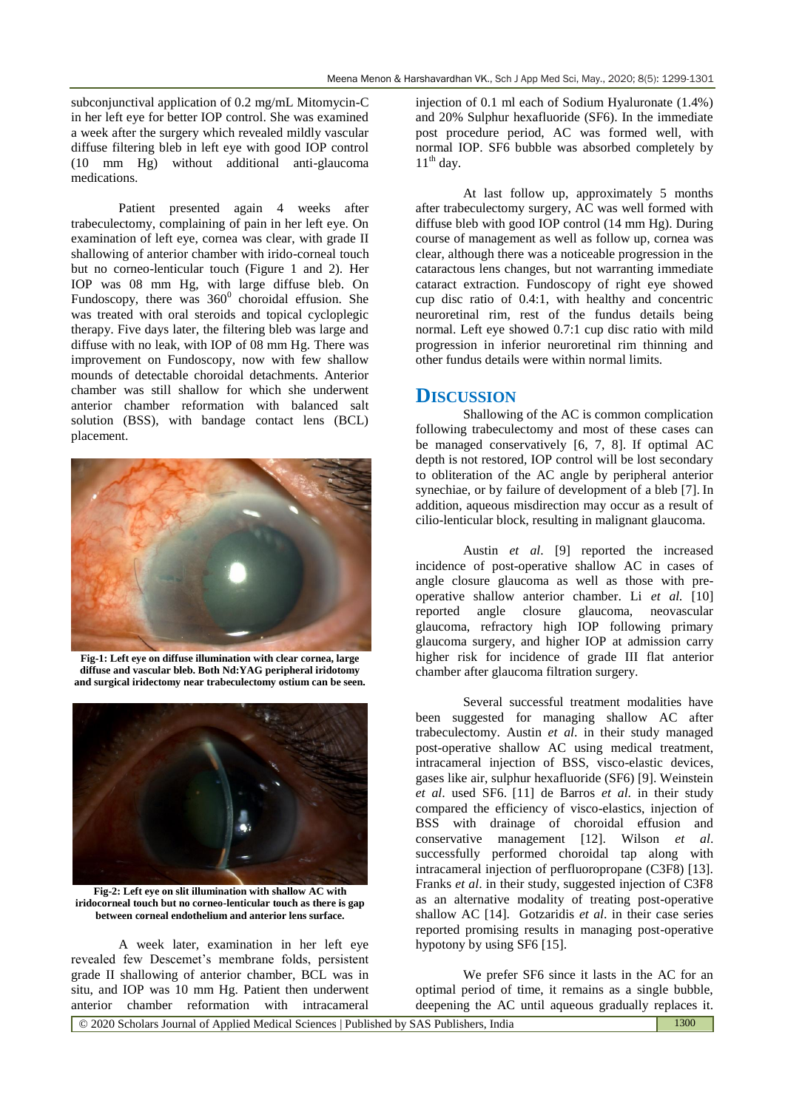subconjunctival application of 0.2 mg/mL Mitomycin-C in her left eye for better IOP control. She was examined a week after the surgery which revealed mildly vascular diffuse filtering bleb in left eye with good IOP control (10 mm Hg) without additional anti-glaucoma medications.

Patient presented again 4 weeks after trabeculectomy, complaining of pain in her left eye. On examination of left eye, cornea was clear, with grade II shallowing of anterior chamber with irido-corneal touch but no corneo-lenticular touch (Figure 1 and 2). Her IOP was 08 mm Hg, with large diffuse bleb. On Fundoscopy, there was  $360^{\circ}$  choroidal effusion. She was treated with oral steroids and topical cycloplegic therapy. Five days later, the filtering bleb was large and diffuse with no leak, with IOP of 08 mm Hg. There was improvement on Fundoscopy, now with few shallow mounds of detectable choroidal detachments. Anterior chamber was still shallow for which she underwent anterior chamber reformation with balanced salt solution (BSS), with bandage contact lens (BCL) placement.



**Fig-1: Left eye on diffuse illumination with clear cornea, large diffuse and vascular bleb. Both Nd:YAG peripheral iridotomy and surgical iridectomy near trabeculectomy ostium can be seen.**



**Fig-2: Left eye on slit illumination with shallow AC with iridocorneal touch but no corneo-lenticular touch as there is gap between corneal endothelium and anterior lens surface.**

A week later, examination in her left eye revealed few Descemet's membrane folds, persistent grade II shallowing of anterior chamber, BCL was in situ, and IOP was 10 mm Hg. Patient then underwent anterior chamber reformation with intracameral

injection of 0.1 ml each of Sodium Hyaluronate (1.4%) and 20% Sulphur hexafluoride (SF6). In the immediate post procedure period, AC was formed well, with normal IOP. SF6 bubble was absorbed completely by  $11<sup>th</sup>$  day.

At last follow up, approximately 5 months after trabeculectomy surgery, AC was well formed with diffuse bleb with good IOP control (14 mm Hg). During course of management as well as follow up, cornea was clear, although there was a noticeable progression in the cataractous lens changes, but not warranting immediate cataract extraction. Fundoscopy of right eye showed cup disc ratio of 0.4:1, with healthy and concentric neuroretinal rim, rest of the fundus details being normal. Left eye showed 0.7:1 cup disc ratio with mild progression in inferior neuroretinal rim thinning and other fundus details were within normal limits.

### **DISCUSSION**

Shallowing of the AC is common complication following trabeculectomy and most of these cases can be managed conservatively [6, 7, 8]. If optimal AC depth is not restored, IOP control will be lost secondary to obliteration of the AC angle by peripheral anterior synechiae, or by failure of development of a bleb [7]. In addition, aqueous misdirection may occur as a result of cilio-lenticular block, resulting in malignant glaucoma.

Austin *et al*. [9] reported the increased incidence of post-operative shallow AC in cases of angle closure glaucoma as well as those with preoperative shallow anterior chamber. Li *et al.* [10] reported angle closure glaucoma, neovascular glaucoma, refractory high IOP following primary glaucoma surgery, and higher IOP at admission carry higher risk for incidence of grade III flat anterior chamber after glaucoma filtration surgery.

Several successful treatment modalities have been suggested for managing shallow AC after trabeculectomy. Austin *et al*. in their study managed post-operative shallow AC using medical treatment, intracameral injection of BSS, visco-elastic devices, gases like air, sulphur hexafluoride (SF6) [9]. Weinstein *et al*. used SF6. [11] de Barros *et al*. in their study compared the efficiency of visco-elastics, injection of BSS with drainage of choroidal effusion and conservative management [12]. Wilson *et al*. successfully performed choroidal tap along with intracameral injection of perfluoropropane (C3F8) [13]. Franks *et al*. in their study, suggested injection of C3F8 as an alternative modality of treating post-operative shallow AC [14]. Gotzaridis *et al*. in their case series reported promising results in managing post-operative hypotony by using SF6 [15].

We prefer SF6 since it lasts in the AC for an optimal period of time, it remains as a single bubble, deepening the AC until aqueous gradually replaces it.